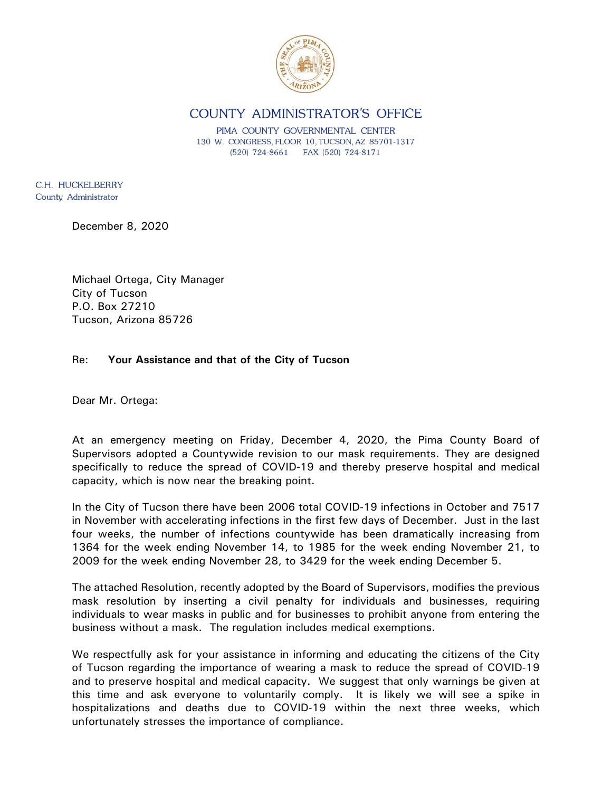

COUNTY ADMINISTRATOR'S OFFICE

PIMA COUNTY GOVERNMENTAL CENTER 130 W. CONGRESS, FLOOR 10, TUCSON, AZ 85701-1317 (520) 724-8661 FAX (520) 724-8171

C.H. HUCKELBERRY County Administrator

December 8, 2020

Michael Ortega, City Manager City of Tucson P.O. Box 27210 Tucson, Arizona 85726

## Re: **Your Assistance and that of the City of Tucson**

Dear Mr. Ortega:

At an emergency meeting on Friday, December 4, 2020, the Pima County Board of Supervisors adopted a Countywide revision to our mask requirements. They are designed specifically to reduce the spread of COVID-19 and thereby preserve hospital and medical capacity, which is now near the breaking point.

In the City of Tucson there have been 2006 total COVID-19 infections in October and 7517 in November with accelerating infections in the first few days of December. Just in the last four weeks, the number of infections countywide has been dramatically increasing from 1364 for the week ending November 14, to 1985 for the week ending November 21, to 2009 for the week ending November 28, to 3429 for the week ending December 5.

The attached Resolution, recently adopted by the Board of Supervisors, modifies the previous mask resolution by inserting a civil penalty for individuals and businesses, requiring individuals to wear masks in public and for businesses to prohibit anyone from entering the business without a mask. The regulation includes medical exemptions.

We respectfully ask for your assistance in informing and educating the citizens of the City of Tucson regarding the importance of wearing a mask to reduce the spread of COVID-19 and to preserve hospital and medical capacity. We suggest that only warnings be given at this time and ask everyone to voluntarily comply. It is likely we will see a spike in hospitalizations and deaths due to COVID-19 within the next three weeks, which unfortunately stresses the importance of compliance.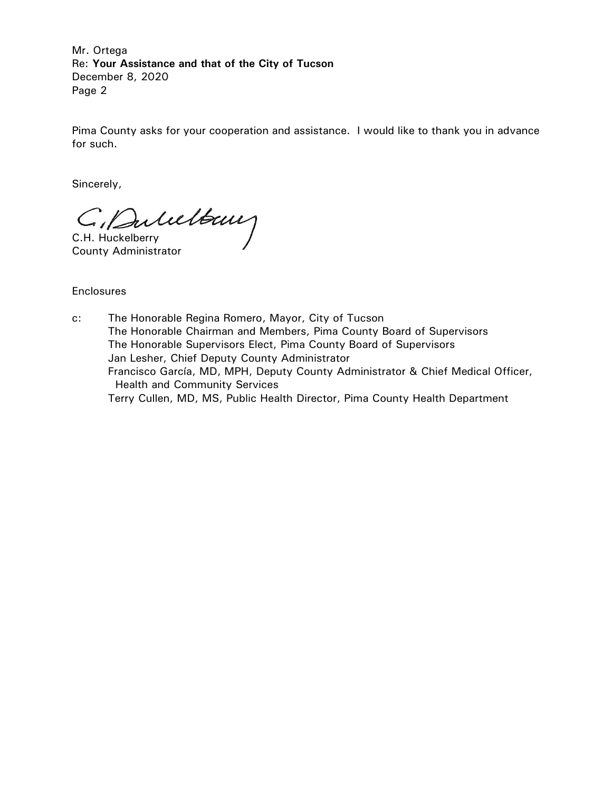Mr. Ortega Re: **Your Assistance and that of the City of Tucson** December 8, 2020 Page 2

Pima County asks for your cooperation and assistance. I would like to thank you in advance for such.

Sincerely,

C. Dulultaux

County Administrator

Enclosures

c: The Honorable Regina Romero, Mayor, City of Tucson The Honorable Chairman and Members, Pima County Board of Supervisors The Honorable Supervisors Elect, Pima County Board of Supervisors Jan Lesher, Chief Deputy County Administrator Francisco García, MD, MPH, Deputy County Administrator & Chief Medical Officer, Health and Community Services Terry Cullen, MD, MS, Public Health Director, Pima County Health Department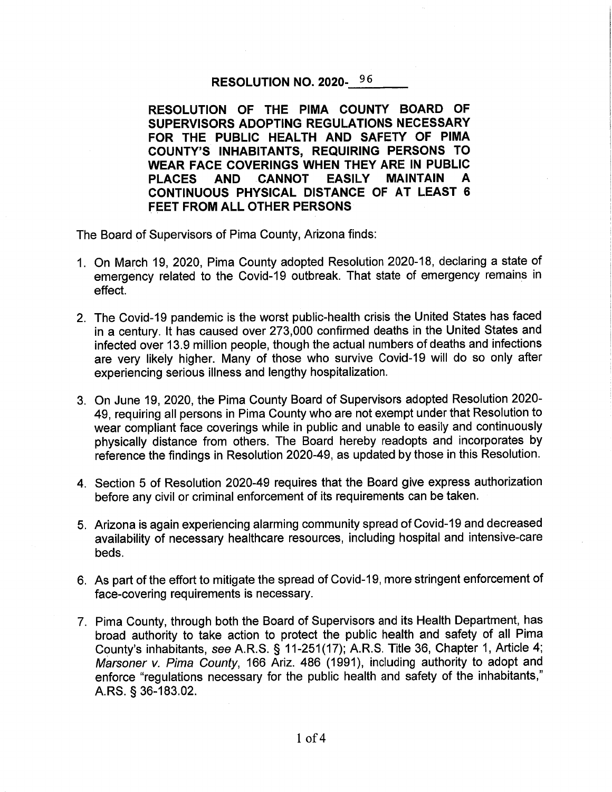## RESOLUTION NO. 2020-96

RESOLUTION OF THE PIMA COUNTY BOARD OF SUPERVISORS ADOPTING REGULATIONS NECESSARY FOR THE PUBLIC HEALTH AND SAFETY OF PIMA **COUNTY'S INHABITANTS, REQUIRING PERSONS TO** WEAR FACE COVERINGS WHEN THEY ARE IN PUBLIC **PLACES** AND CANNOT **EASILY MAINTAIN** A CONTINUOUS PHYSICAL DISTANCE OF AT LEAST 6 **FEET FROM ALL OTHER PERSONS** 

The Board of Supervisors of Pima County, Arizona finds:

- 1. On March 19, 2020, Pima County adopted Resolution 2020-18, declaring a state of emergency related to the Covid-19 outbreak. That state of emergency remains in effect.
- 2. The Covid-19 pandemic is the worst public-health crisis the United States has faced in a century. It has caused over 273,000 confirmed deaths in the United States and infected over 13.9 million people, though the actual numbers of deaths and infections are very likely higher. Many of those who survive Covid-19 will do so only after experiencing serious illness and lengthy hospitalization.
- 3. On June 19, 2020, the Pima County Board of Supervisors adopted Resolution 2020-49, requiring all persons in Pima County who are not exempt under that Resolution to wear compliant face coverings while in public and unable to easily and continuously physically distance from others. The Board hereby readopts and incorporates by reference the findings in Resolution 2020-49, as updated by those in this Resolution.
- 4. Section 5 of Resolution 2020-49 requires that the Board give express authorization before any civil or criminal enforcement of its requirements can be taken.
- 5. Arizona is again experiencing alarming community spread of Covid-19 and decreased availability of necessary healthcare resources, including hospital and intensive-care beds.
- 6. As part of the effort to mitigate the spread of Covid-19, more stringent enforcement of face-covering requirements is necessary.
- 7. Pima County, through both the Board of Supervisors and its Health Department, has broad authority to take action to protect the public health and safety of all Pima County's inhabitants, see A.R.S. § 11-251(17); A.R.S. Title 36, Chapter 1, Article 4; Marsoner v. Pima County, 166 Ariz. 486 (1991), including authority to adopt and enforce "regulations necessary for the public health and safety of the inhabitants," A.RS. § 36-183.02.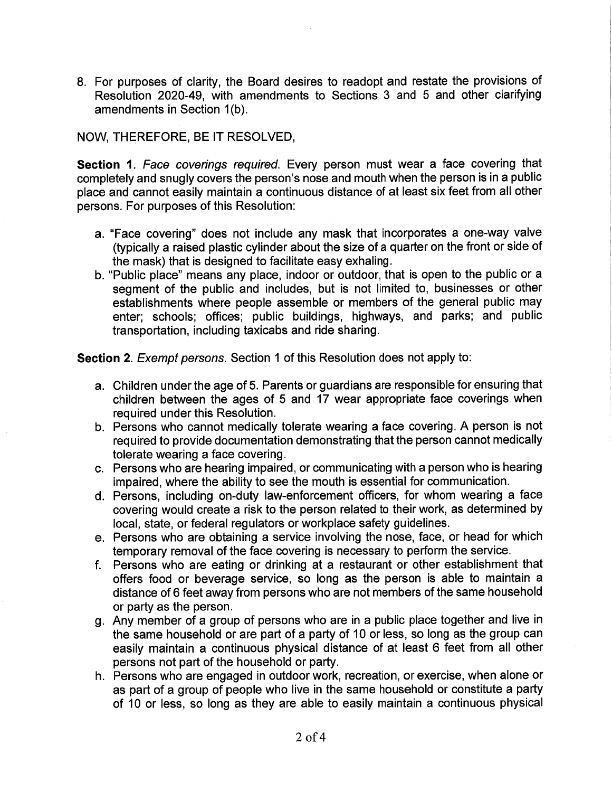8. For purposes of clarity, the Board desires to readopt and restate the provisions of Resolution 2020-49, with amendments to Sections 3 and 5 and other clarifying amendments in Section 1(b).

## NOW, THEREFORE, BE IT RESOLVED,

Section 1. Face coverings required. Every person must wear a face covering that completely and snugly covers the person's nose and mouth when the person is in a public place and cannot easily maintain a continuous distance of at least six feet from all other persons. For purposes of this Resolution:

- a. "Face covering" does not include any mask that incorporates a one-way valve (typically a raised plastic cylinder about the size of a quarter on the front or side of the mask) that is designed to facilitate easy exhaling.
- b. "Public place" means any place, indoor or outdoor, that is open to the public or a segment of the public and includes, but is not limited to, businesses or other establishments where people assemble or members of the general public may enter; schools; offices; public buildings, highways, and parks; and public transportation, including taxicabs and ride sharing.

Section 2. Exempt persons. Section 1 of this Resolution does not apply to:

- a. Children under the age of 5. Parents or guardians are responsible for ensuring that children between the ages of 5 and 17 wear appropriate face coverings when required under this Resolution.
- b. Persons who cannot medically tolerate wearing a face covering. A person is not required to provide documentation demonstrating that the person cannot medically tolerate wearing a face covering.
- c. Persons who are hearing impaired, or communicating with a person who is hearing impaired, where the ability to see the mouth is essential for communication.
- d. Persons, including on-duty law-enforcement officers, for whom wearing a face covering would create a risk to the person related to their work, as determined by local, state, or federal regulators or workplace safety guidelines.
- e. Persons who are obtaining a service involving the nose, face, or head for which temporary removal of the face covering is necessary to perform the service.
- f. Persons who are eating or drinking at a restaurant or other establishment that offers food or beverage service, so long as the person is able to maintain a distance of 6 feet away from persons who are not members of the same household or party as the person.
- g. Any member of a group of persons who are in a public place together and live in the same household or are part of a party of 10 or less, so long as the group can easily maintain a continuous physical distance of at least 6 feet from all other persons not part of the household or party.
- h. Persons who are engaged in outdoor work, recreation, or exercise, when alone or as part of a group of people who live in the same household or constitute a party of 10 or less, so long as they are able to easily maintain a continuous physical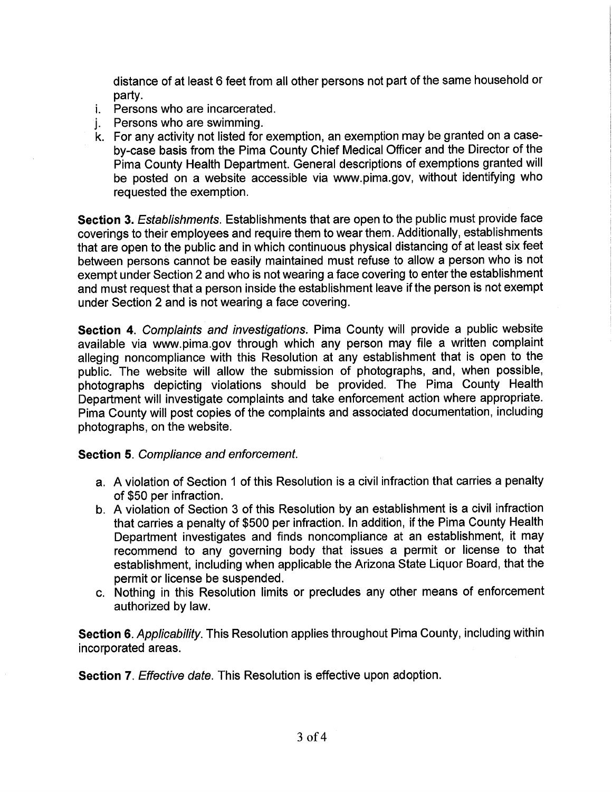distance of at least 6 feet from all other persons not part of the same household or partv.

- *i.* Persons who are incarcerated.
- Persons who are swimming. i.
- k. For any activity not listed for exemption, an exemption may be granted on a caseby-case basis from the Pima County Chief Medical Officer and the Director of the Pima County Health Department. General descriptions of exemptions granted will be posted on a website accessible via www.pima.gov, without identifying who requested the exemption.

Section 3. Establishments. Establishments that are open to the public must provide face coverings to their employees and require them to wear them. Additionally, establishments that are open to the public and in which continuous physical distancing of at least six feet between persons cannot be easily maintained must refuse to allow a person who is not exempt under Section 2 and who is not wearing a face covering to enter the establishment and must request that a person inside the establishment leave if the person is not exempt under Section 2 and is not wearing a face covering.

Section 4. Complaints and investigations. Pima County will provide a public website available via www.pima.gov through which any person may file a written complaint alleging noncompliance with this Resolution at any establishment that is open to the public. The website will allow the submission of photographs, and, when possible, photographs depicting violations should be provided. The Pima County Health Department will investigate complaints and take enforcement action where appropriate. Pima County will post copies of the complaints and associated documentation, including photographs, on the website.

## **Section 5. Compliance and enforcement.**

- a. A violation of Section 1 of this Resolution is a civil infraction that carries a penalty of \$50 per infraction.
- b. A violation of Section 3 of this Resolution by an establishment is a civil infraction that carries a penalty of \$500 per infraction. In addition, if the Pima County Health Department investigates and finds noncompliance at an establishment, it may recommend to any governing body that issues a permit or license to that establishment, including when applicable the Arizona State Liquor Board, that the permit or license be suspended.
- c. Nothing in this Resolution limits or precludes any other means of enforcement authorized by law.

Section 6. Applicability. This Resolution applies throughout Pima County, including within incorporated areas.

**Section 7.** Effective date. This Resolution is effective upon adoption.